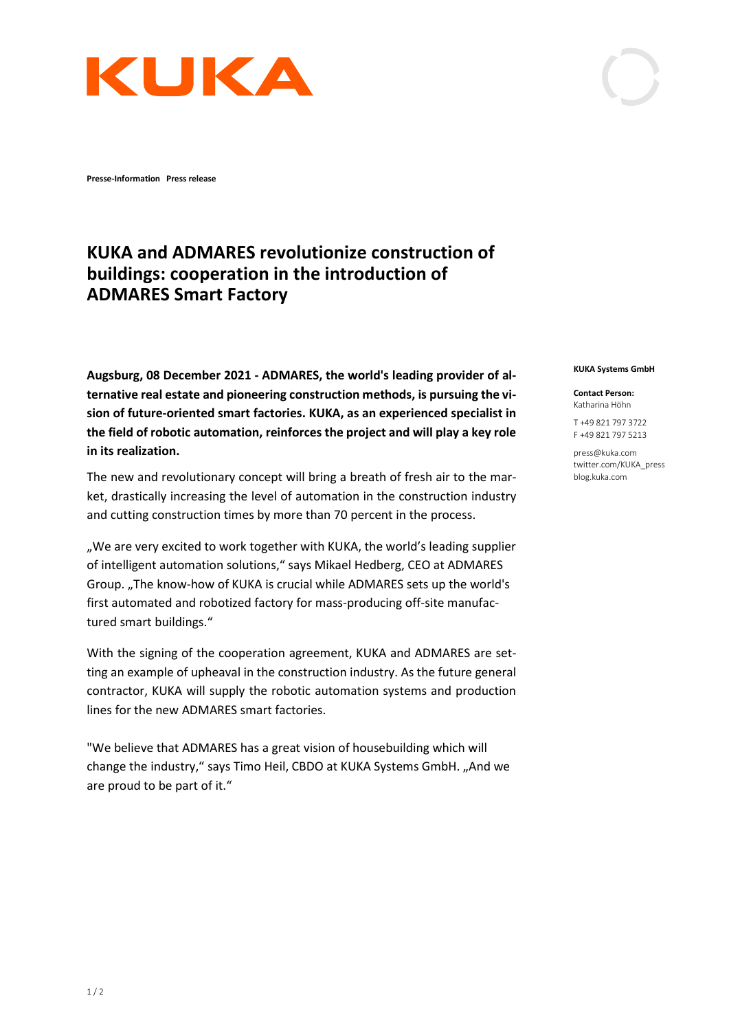

**Presse-Information Press release** 

## **KUKA and ADMARES revolutionize construction of buildings: cooperation in the introduction of ADMARES Smart Factory**

**Augsburg, 08 December 2021 - ADMARES, the world's leading provider of alternative real estate and pioneering construction methods, is pursuing the vision of future-oriented smart factories. KUKA, as an experienced specialist in the field of robotic automation, reinforces the project and will play a key role in its realization.**

The new and revolutionary concept will bring a breath of fresh air to the market, drastically increasing the level of automation in the construction industry and cutting construction times by more than 70 percent in the process.

"We are very excited to work together with KUKA, the world's leading supplier of intelligent automation solutions," says Mikael Hedberg, CEO at ADMARES Group. "The know-how of KUKA is crucial while ADMARES sets up the world's first automated and robotized factory for mass-producing off-site manufactured smart buildings."

With the signing of the cooperation agreement, KUKA and ADMARES are setting an example of upheaval in the construction industry. As the future general contractor, KUKA will supply the robotic automation systems and production lines for the new ADMARES smart factories.

"We believe that ADMARES has a great vision of housebuilding which will change the industry," says Timo Heil, CBDO at KUKA Systems GmbH. "And we are proud to be part of it."

## **KUKA Systems GmbH**

**Contact Person:** Katharina Höhn

T +49 821 797 3722 F +49 821 797 5213

press@kuka.com twitter.com/KUKA\_press blog.kuka.com